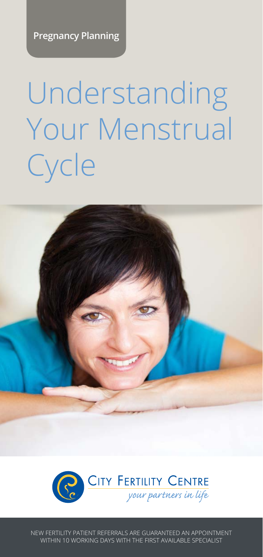**Pregnancy Planning**

# Understanding Your Menstrual **Cycle**





NEW FERTILITY PATIENT REFERRALS ARE GUARANTEED AN APPOINTMENT WITHIN 10 WORKING DAYS WITH THE FIRST AVAILABLE SPECIALIST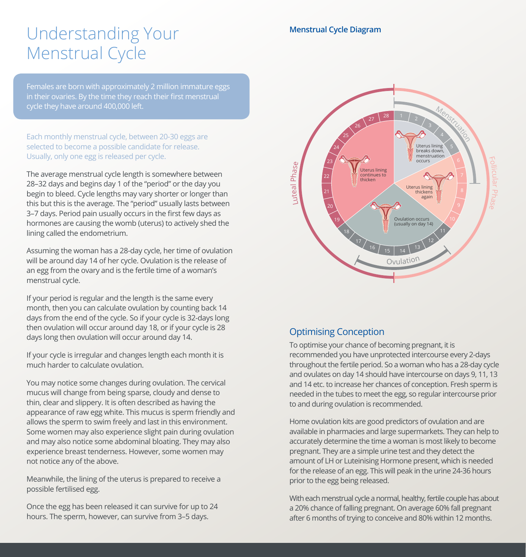## Understanding Your **Menstrual Cycle Diagram** Menstrual Cycle

Females are born with approximately 2 million immature eggs in their ovaries. By the time they reach their first menstrual cycle they have around 400,000 left.

Each monthly menstrual cycle, between 20-30 eggs are selected to become a possible candidate for release. Usually, only one egg is released per cycle.

The average menstrual cycle length is somewhere between 28–32 days and begins day 1 of the "period" or the day you begin to bleed. Cycle lengths may vary shorter or longer than this but this is the average. The "period" usually lasts between 3–7 days. Period pain usually occurs in the first few days as hormones are causing the womb (uterus) to actively shed the lining called the endometrium.

Assuming the woman has a 28-day cycle, her time of ovulation will be around day 14 of her cycle. Ovulation is the release of an egg from the ovary and is the fertile time of a woman's menstrual cycle.

If your period is regular and the length is the same every month, then you can calculate ovulation by counting back 14 days from the end of the cycle. So if your cycle is 32-days long then ovulation will occur around day 18, or if your cycle is 28 days long then ovulation will occur around day 14.

If your cycle is irregular and changes length each month it is much harder to calculate ovulation.

You may notice some changes during ovulation. The cervical mucus will change from being sparse, cloudy and dense to thin, clear and slippery. It is often described as having the appearance of raw egg white. This mucus is sperm friendly and allows the sperm to swim freely and last in this environment. Some women may also experience slight pain during ovulation and may also notice some abdominal bloating. They may also experience breast tenderness. However, some women may not notice any of the above.

Meanwhile, the lining of the uterus is prepared to receive a possible fertilised egg.

Once the egg has been released it can survive for up to 24 hours. The sperm, however, can survive from 3–5 days.



### Optimising Conception

To optimise your chance of becoming pregnant, it is recommended you have unprotected intercourse every 2-days throughout the fertile period. So a woman who has a 28-day cycle and ovulates on day 14 should have intercourse on days 9, 11, 13 and 14 etc. to increase her chances of conception. Fresh sperm is needed in the tubes to meet the egg, so regular intercourse prior to and during ovulation is recommended.

Home ovulation kits are good predictors of ovulation and are available in pharmacies and large supermarkets. They can help to accurately determine the time a woman is most likely to become pregnant. They are a simple urine test and they detect the amount of LH or Luteinising Hormone present, which is needed for the release of an egg. This will peak in the urine 24-36 hours prior to the egg being released.

With each menstrual cycle a normal, healthy, fertile couple has about a 20% chance of falling pregnant. On average 60% fall pregnant after 6 months of trying to conceive and 80% within 12 months.